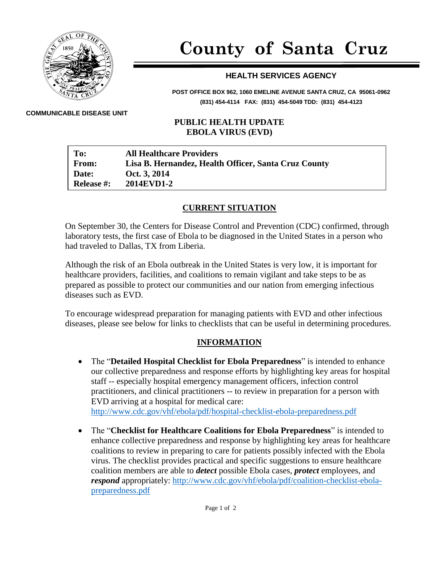

# **County of Santa Cruz**

## **HEALTH SERVICES AGENCY**

**POST OFFICE BOX 962, 1060 EMELINE AVENUE SANTA CRUZ, CA 95061-0962 (831) 454-4114 FAX: (831) 454-5049 TDD: (831) 454-4123**

#### **COMMUNICABLE DISEASE UNIT**

#### **PUBLIC HEALTH UPDATE EBOLA VIRUS (EVD)**

| To:               | <b>All Healthcare Providers</b>                      |
|-------------------|------------------------------------------------------|
| From:             | Lisa B. Hernandez, Health Officer, Santa Cruz County |
| Date:             | Oct. 3, 2014                                         |
| <b>Release #:</b> | <b>2014EVD1-2</b>                                    |

### **CURRENT SITUATION**

On September 30, the Centers for Disease Control and Prevention (CDC) confirmed, through laboratory tests, the first case of Ebola to be diagnosed in the United States in a person who had traveled to Dallas, TX from Liberia.

Although the risk of an Ebola outbreak in the United States is very low, it is important for healthcare providers, facilities, and coalitions to remain vigilant and take steps to be as prepared as possible to protect our communities and our nation from emerging infectious diseases such as EVD.

To encourage widespread preparation for managing patients with EVD and other infectious diseases, please see below for links to checklists that can be useful in determining procedures.

### **INFORMATION**

- The "**Detailed Hospital Checklist for Ebola Preparedness**" is intended to enhance our collective preparedness and response efforts by highlighting key areas for hospital staff -- especially hospital emergency management officers, infection control practitioners, and clinical practitioners -- to review in preparation for a person with EVD arriving at a hospital for medical care: <http://www.cdc.gov/vhf/ebola/pdf/hospital-checklist-ebola-preparedness.pdf>
- The "**Checklist for Healthcare Coalitions for Ebola Preparedness**" is intended to enhance collective preparedness and response by highlighting key areas for healthcare coalitions to review in preparing to care for patients possibly infected with the Ebola virus. The checklist provides practical and specific suggestions to ensure healthcare coalition members are able to *detect* possible Ebola cases, *protect* employees, and *respond* appropriately: [http://www.cdc.gov/vhf/ebola/pdf/coalition-checklist-ebola](http://www.cdc.gov/vhf/ebola/pdf/coalition-checklist-ebola-preparedness.pdf)[preparedness.pdf](http://www.cdc.gov/vhf/ebola/pdf/coalition-checklist-ebola-preparedness.pdf)